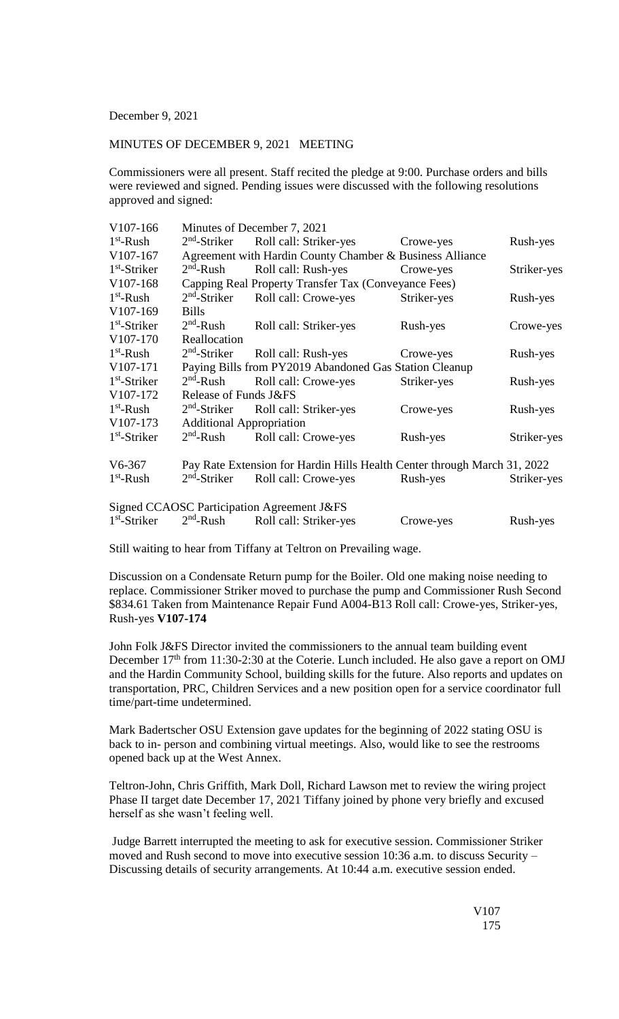## December 9, 2021

## MINUTES OF DECEMBER 9, 2021 MEETING

Commissioners were all present. Staff recited the pledge at 9:00. Purchase orders and bills were reviewed and signed. Pending issues were discussed with the following resolutions approved and signed:

| V107-166       | Minutes of December 7, 2021                            |                                                                          |             |             |  |
|----------------|--------------------------------------------------------|--------------------------------------------------------------------------|-------------|-------------|--|
| $1st$ -Rush    | $2nd$ -Striker                                         | Roll call: Striker-yes                                                   | Crowe-yes   | Rush-yes    |  |
| V107-167       |                                                        | Agreement with Hardin County Chamber & Business Alliance                 |             |             |  |
| $1st$ -Striker | $2nd$ -Rush                                            | Roll call: Rush-yes                                                      | Crowe-yes   | Striker-yes |  |
| V107-168       |                                                        | Capping Real Property Transfer Tax (Conveyance Fees)                     |             |             |  |
| $1st$ -Rush    | $2nd$ -Striker                                         | Roll call: Crowe-yes                                                     | Striker-yes | Rush-yes    |  |
| V107-169       | <b>Bills</b>                                           |                                                                          |             |             |  |
| $1st$ -Striker | $2nd$ -Rush                                            | Roll call: Striker-yes                                                   | Rush-yes    | Crowe-yes   |  |
| V107-170       | Reallocation                                           |                                                                          |             |             |  |
| $1st$ -Rush    | $2nd$ -Striker                                         | Roll call: Rush-yes                                                      | Crowe-yes   | Rush-yes    |  |
| V107-171       | Paying Bills from PY2019 Abandoned Gas Station Cleanup |                                                                          |             |             |  |
| $1st$ -Striker | $2nd$ -Rush                                            | Roll call: Crowe-yes                                                     | Striker-yes | Rush-yes    |  |
| V107-172       | Release of Funds J&FS                                  |                                                                          |             |             |  |
| $1st$ -Rush    | $2nd$ -Striker                                         | Roll call: Striker-yes                                                   | Crowe-yes   | Rush-yes    |  |
| V107-173       | <b>Additional Appropriation</b>                        |                                                                          |             |             |  |
| $1st$ -Striker | $2nd$ -Rush                                            | Roll call: Crowe-yes                                                     | Rush-yes    | Striker-yes |  |
| $V6-367$       |                                                        | Pay Rate Extension for Hardin Hills Health Center through March 31, 2022 |             |             |  |
| $1st$ -Rush    | $2nd$ -Striker                                         | Roll call: Crowe-yes                                                     | Rush-yes    | Striker-yes |  |
|                |                                                        | Signed CCAOSC Participation Agreement J&FS                               |             |             |  |
| $1st$ -Striker | $2nd$ -Rush                                            | Roll call: Striker-yes                                                   | Crowe-yes   | Rush-yes    |  |

Still waiting to hear from Tiffany at Teltron on Prevailing wage.

Discussion on a Condensate Return pump for the Boiler. Old one making noise needing to replace. Commissioner Striker moved to purchase the pump and Commissioner Rush Second \$834.61 Taken from Maintenance Repair Fund A004-B13 Roll call: Crowe-yes, Striker-yes, Rush-yes **V107-174**

John Folk J&FS Director invited the commissioners to the annual team building event December  $17<sup>th</sup>$  from 11:30-2:30 at the Coterie. Lunch included. He also gave a report on OMJ and the Hardin Community School, building skills for the future. Also reports and updates on transportation, PRC, Children Services and a new position open for a service coordinator full time/part-time undetermined.

Mark Badertscher OSU Extension gave updates for the beginning of 2022 stating OSU is back to in- person and combining virtual meetings. Also, would like to see the restrooms opened back up at the West Annex.

Teltron-John, Chris Griffith, Mark Doll, Richard Lawson met to review the wiring project Phase II target date December 17, 2021 Tiffany joined by phone very briefly and excused herself as she wasn't feeling well.

Judge Barrett interrupted the meeting to ask for executive session. Commissioner Striker moved and Rush second to move into executive session 10:36 a.m. to discuss Security – Discussing details of security arrangements. At 10:44 a.m. executive session ended.